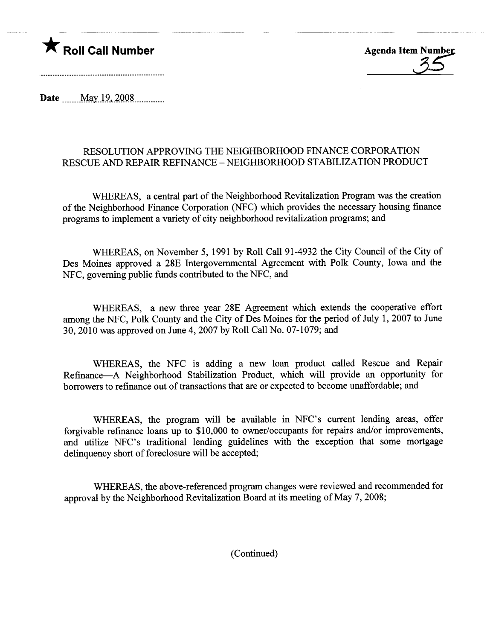## **Example 2018** Roll Call Number Agenda Item Number

Date May 19, 2008

## RESOLUTION APPROVING THE NEIGHBORHOOD FINANCE CORPORATION RESCUE AND REPAIR REFINANCE - NEIGHBORHOOD STABILIZATION PRODUCT

WHEREAS, a central part of the Neighborhood Revitalization Program was the creation of the Neighborhood Finance Corporation (NFC) which provides the necessary housing finance programs to implement a varety of city neighborhood revitalization programs; and

WHEREAS, on November 5, 1991 by Roll Call 91-4932 the City Council of the City of Des Moines approved a 28E Intergovernmental Agreement with Polk County, Iowa and the NFC, governing public fuds contributed to the NFC, and

WHEREAS, a new three year 28E Agreement which extends the cooperative effort among the NFC, Polk County and the City of Des Moines for the period of July l, 2007 to June 30,2010 was approved on June 4, 2007 by Roll Call No. 07-1079; and

WHEREAS, the NFC is adding a new loan product called Rescue and Repair Refinance-A Neighborhood Stabilization Product, which will provide an opportunity for borrowers to refinance out of transactions that are or expected to become unaffordable; and

WHEREAS, the program will be available in NFC's curent lending areas, offer forgivable refinance loans up to \$10,000 to owner/occupants for repairs and/or improvements, and utilze NFC's traditional lending guidelines with the exception that some mortgage delinquency short of foreclosure will be accepted;

WHEREAS, the above-referenced program changes were reviewed and recommended for approval by the Neighborhood Revitalization Board at its meeting of May 7, 2008;

(Continued)